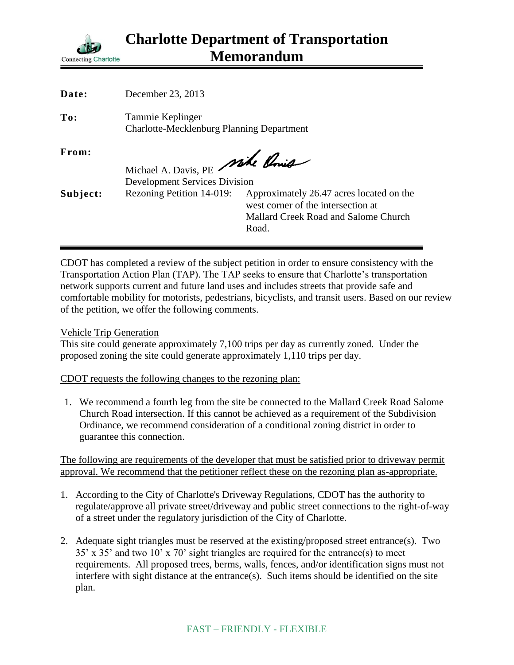

| Date:    | December 23, 2013                                                    |                                                                                                                                 |
|----------|----------------------------------------------------------------------|---------------------------------------------------------------------------------------------------------------------------------|
| To:      | Tammie Keplinger<br><b>Charlotte-Mecklenburg Planning Department</b> |                                                                                                                                 |
| From:    | Michael A. Davis, PE Mike Ponis                                      |                                                                                                                                 |
|          | <b>Development Services Division</b>                                 |                                                                                                                                 |
| Subject: | Rezoning Petition 14-019:                                            | Approximately 26.47 acres located on the<br>west corner of the intersection at<br>Mallard Creek Road and Salome Church<br>Road. |

CDOT has completed a review of the subject petition in order to ensure consistency with the Transportation Action Plan (TAP). The TAP seeks to ensure that Charlotte's transportation network supports current and future land uses and includes streets that provide safe and comfortable mobility for motorists, pedestrians, bicyclists, and transit users. Based on our review of the petition, we offer the following comments.

Vehicle Trip Generation

This site could generate approximately 7,100 trips per day as currently zoned. Under the proposed zoning the site could generate approximately 1,110 trips per day.

CDOT requests the following changes to the rezoning plan:

1. We recommend a fourth leg from the site be connected to the Mallard Creek Road Salome Church Road intersection. If this cannot be achieved as a requirement of the Subdivision Ordinance, we recommend consideration of a conditional zoning district in order to guarantee this connection.

The following are requirements of the developer that must be satisfied prior to driveway permit approval. We recommend that the petitioner reflect these on the rezoning plan as-appropriate.

- 1. According to the City of Charlotte's Driveway Regulations, CDOT has the authority to regulate/approve all private street/driveway and public street connections to the right-of-way of a street under the regulatory jurisdiction of the City of Charlotte.
- 2. Adequate sight triangles must be reserved at the existing/proposed street entrance(s). Two 35' x 35' and two 10' x 70' sight triangles are required for the entrance(s) to meet requirements. All proposed trees, berms, walls, fences, and/or identification signs must not interfere with sight distance at the entrance(s). Such items should be identified on the site plan.